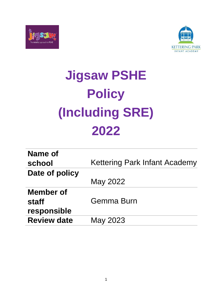



# **Jigsaw PSHE Policy (Including SRE) 2022**

| <b>Kettering Park Infant Academy</b> |
|--------------------------------------|
|                                      |
| May 2022                             |
|                                      |
| Gemma Burn                           |
|                                      |
| May 2023                             |
|                                      |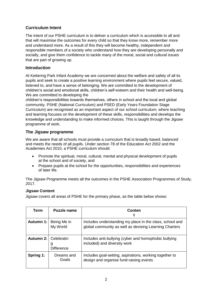## **Curriculum Intent**

The intent of our PSHE curriculum is to deliver a curriculum which is accessible to all and that will maximise the outcomes for every child so that they know more, remember more and understand more. As a result of this they will become healthy, independent and responsible members of a society who understand how they are developing personally and socially, and give them confidence to tackle many of the moral, social and cultural issues that are part of growing up.

### **Introduction**

At Kettering Park Infant Academy we are concerned about the welfare and safety of all its pupils and seek to create a positive learning environment where pupils feel secure, valued, listened to, and have a sense of belonging. We are committed to the development of children's social and emotional skills, children's self-esteem and their health and well-being. We are committed to developing the

children's responsibilities towards themselves, others in school and the local and global community. PSHE (National Curriculum) and PSED (Early Years Foundation Stage Curriculum) are recognised as an important aspect of our school curriculum; where teaching and learning focuses on the development of these skills, responsibilities and develops the knowledge and understanding to make informed choices. This is taught through the Jigsaw programme of work.

## **The Jigsaw programme**

We are aware that all schools must provide a curriculum that is broadly based, balanced and meets the needs of all pupils. Under section 78 of the Education Act 2002 and the Academies Act 2010, a PSHE curriculum should:

- Promote the spiritual, moral, cultural, mental and physical development of pupils at the school and of society, and
- Prepare pupils at the school for the opportunities, responsibilities and experiences of later life.

The Jigsaw Programme meets all the outcomes in the PSHE Association Programmes of Study, 2017.

#### **Jigsaw Content**

Jigsaw covers all areas of PSHE for the primary phase, as the table below shows:

| Term             | <b>Puzzle name</b>                   | Conten                                                                                                             |
|------------------|--------------------------------------|--------------------------------------------------------------------------------------------------------------------|
| <b>Autumn 1:</b> | Being Me in<br>My World              | Includes understanding my place in the class, school and<br>global community as well as devising Learning Charters |
| Autumn 2:        | Celebratin<br>g<br><b>Difference</b> | Includes anti-bullying (cyber and homophobic bullying<br>included) and diversity work                              |
| Spring 1:        | Dreams and<br>Goals                  | Includes goal-setting, aspirations, working together to<br>design and organise fund-raising events                 |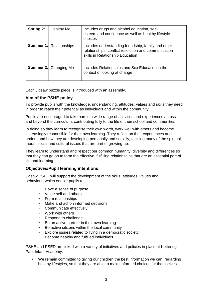| Spring 2: | <b>Healthy Me</b>              | Includes drugs and alcohol education, self-<br>esteem and confidence as well as healthy lifestyle<br>choices                                    |
|-----------|--------------------------------|-------------------------------------------------------------------------------------------------------------------------------------------------|
|           | <b>Summer 1:</b> Relationships | Includes understanding friendship, family and other<br>relationships, conflict resolution and communication<br>skills in Relationship Education |
|           | <b>Summer 2:</b> Changing Me   | Includes Relationships and Sex Education in the<br>context of looking at change                                                                 |

Each Jigsaw puzzle piece is introduced with an assembly.

#### **Aim of the PSHE policy**

To provide pupils with the knowledge, understanding, attitudes, values and skills they need in order to reach their potential as individuals and within the community.

Pupils are encouraged to take part in a wide range of activities and experiences across and beyond the curriculum, contributing fully to the life of their school and communities.

In doing so they learn to recognise their own worth, work well with others and become increasingly responsible for their own learning. They reflect on their experiences and understand how they are developing personally and socially, tackling many of the spiritual, moral, social and cultural issues that are part of growing up.

They learn to understand and respect our common humanity; diversity and differences so that they can go on to form the effective, fulfilling relationships that are an essential part of life and learning.

#### **Objectives/Pupil learning intentions:**

Jigsaw PSHE will support the development of the skills, attitudes, values and behaviour, which enable pupils to:

- Have a sense of purpose
- Value self and others
- Form relationships
- Make and act on informed decisions
- Communicate effectively
- Work with others
- Respond to challenge
- Be an active partner in their own learning
- Be active citizens within the local community
- Explore issues related to living in a democratic society
- Become healthy and fulfilled individuals

PSHE and PSED are linked with a variety of initiatives and policies in place at Kettering Park Infant Academy.

• We remain committed to giving our children the best information we can, regarding healthy lifestyles, so that they are able to make informed choices for themselves.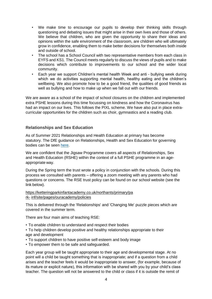- We make time to encourage our pupils to develop their thinking skills through questioning and debating issues that might arise in their own lives and those of others. We believe that children, who are given the opportunity to share their ideas and opinions within the safe environment of the classroom, are children who will ultimately grow in confidence, enabling them to make better decisions for themselves both inside and outside of school.
- The school has a School Council with two representative members from each class in EYFS and KS1. The Council meets regularly to discuss the views of pupils and to make decisions which contribute to improvements to our school and the wider local community.
- Each year we support Children's mental health Week and anti bullying week during which we do activities supporting mental health, healthy eating and the children's wellbeing. We also promote how to be a good friend, the qualities of good friends as well as bullying and how to make up when we fall out with our friends.

We are aware as a school of the impact of school closures on the children and implemented extra PSHE lessons during this time focussing on kindness and how the Coronavirus has had an impact on our lives. This follows the PIXL scheme. We have also put in place extracurricular opportunities for the children such as choir, gymnastics and a reading club.

#### **Relationships and Sex Education**

As of Summer 2021 Relationships and Health Education at primary has become statutory. The DfE guidance on Relationships, Health and Sex Education for governing bodies can be seen [here.](https://assets.publishing.service.gov.uk/government/uploads/system/uploads/attachment_data/file/805781/Relationships_Education__Relationships_and_Sex_Education__RSE__and_Health_Education.pdf)

We are confident that the Jigsaw Programme covers all aspects of Relationships, Sex and Health Education (RSHE) within the context of a full PSHE programme in an ageappropriate way.

During the Spring term the trust wrote a policy in conjunction with the schools. During this process we consulted with parents – offering a zoom meeting with any parents who had questions or concerns. The RSE trust policy can be found on our school website (see the link below).

#### [https://ketteringparkinfantacademy.co.uk/northants/primary/pa](https://ketteringparkinfantacademy.co.uk/northants/primary/park-inf/site/pages/ouracademy/policies) [rk-](https://ketteringparkinfantacademy.co.uk/northants/primary/park-inf/site/pages/ouracademy/policies) [inf/site/pages/ouracademy/policies](https://ketteringparkinfantacademy.co.uk/northants/primary/park-inf/site/pages/ouracademy/policies)

This is delivered through the 'Relationships' and 'Changing Me' puzzle pieces which are covered in the summer term.

There are four main aims of teaching RSE:

- To enable children to understand and respect their bodies
- To help children develop positive and healthy relationships appropriate to their age and development
- To support children to have positive self-esteem and body image
- To empower them to be safe and safeguarded.

Each year group will be taught appropriate to their age and developmental stage. At no point will a child be taught something that is inappropriate; and if a question from a child arises and the teacher feels it would be inappropriate to answer, (for example, because of its mature or explicit nature), this information with be shared with you by your child's class teacher. The question will not be answered to the child or class if it is outside the remit of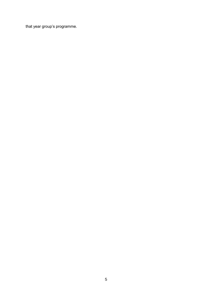that year group's programme.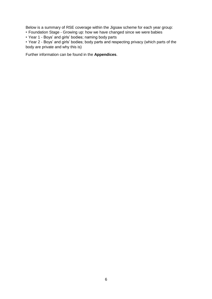Below is a summary of RSE coverage within the Jigsaw scheme for each year group:

• Foundation Stage - Growing up: how we have changed since we were babies

• Year 1 - Boys' and girls' bodies; naming body parts

• Year 2 - Boys' and girls' bodies; body parts and respecting privacy (which parts of the body are private and why this is)

Further information can be found in the **Appendices**.